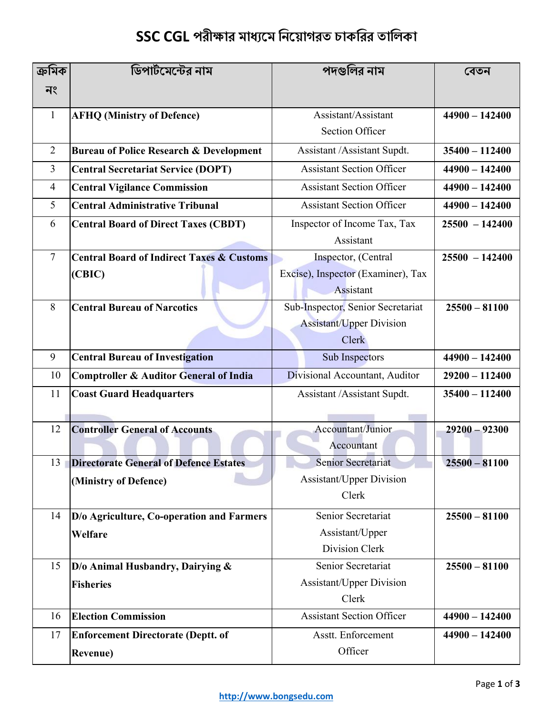## **SSC CGL পরীক্ষার মাধ্যমম নিম াগরত চাকনরর তানিকা**

| ক্ৰমিক         | ডিপার্টমেন্টের নাম                                   | পদগুলির নাম                               | বেতন             |  |
|----------------|------------------------------------------------------|-------------------------------------------|------------------|--|
| নং             |                                                      |                                           |                  |  |
| 1              | <b>AFHQ (Ministry of Defence)</b>                    | Assistant/Assistant                       | $44900 - 142400$ |  |
|                |                                                      | <b>Section Officer</b>                    |                  |  |
| 2              | <b>Bureau of Police Research &amp; Development</b>   | Assistant /Assistant Supdt.               | $35400 - 112400$ |  |
| 3              | <b>Central Secretariat Service (DOPT)</b>            | <b>Assistant Section Officer</b>          | $44900 - 142400$ |  |
| $\overline{4}$ | <b>Central Vigilance Commission</b>                  | <b>Assistant Section Officer</b>          | $44900 - 142400$ |  |
| 5              | <b>Central Administrative Tribunal</b>               | <b>Assistant Section Officer</b>          | $44900 - 142400$ |  |
| 6              |                                                      |                                           | $25500 - 142400$ |  |
|                | <b>Central Board of Direct Taxes (CBDT)</b>          | Inspector of Income Tax, Tax<br>Assistant |                  |  |
| $\overline{7}$ | <b>Central Board of Indirect Taxes &amp; Customs</b> | Inspector, (Central                       | $25500 - 142400$ |  |
|                | (CBIC)                                               | Excise), Inspector (Examiner), Tax        |                  |  |
|                |                                                      | Assistant                                 |                  |  |
| 8              | <b>Central Bureau of Narcotics</b>                   | Sub-Inspector, Senior Secretariat         | $25500 - 81100$  |  |
|                |                                                      | <b>Assistant/Upper Division</b>           |                  |  |
|                |                                                      | Clerk                                     |                  |  |
| 9              | <b>Central Bureau of Investigation</b>               | Sub Inspectors                            | $44900 - 142400$ |  |
| 10             | Comptroller & Auditor General of India               | Divisional Accountant, Auditor            | $29200 - 112400$ |  |
| 11             | <b>Coast Guard Headquarters</b>                      | Assistant / Assistant Supdt.              | $35400 - 112400$ |  |
|                |                                                      |                                           |                  |  |
| 12             | <b>Controller General of Accounts</b>                | Accountant/Junior                         | $29200 - 92300$  |  |
|                |                                                      | Accountant                                |                  |  |
|                | 13   Directorate General of Defence Estates          | <b>Senior Secretariat</b>                 | $25500 - 81100$  |  |
|                | (Ministry of Defence)                                | <b>Assistant/Upper Division</b>           |                  |  |
|                |                                                      | Clerk                                     |                  |  |
| 14             | D/o Agriculture, Co-operation and Farmers            | Senior Secretariat                        | $25500 - 81100$  |  |
|                | Welfare                                              | Assistant/Upper                           |                  |  |
|                |                                                      | Division Clerk                            |                  |  |
| 15             | $D/O$ Animal Husbandry, Dairying &                   | Senior Secretariat                        | $25500 - 81100$  |  |
|                | <b>Fisheries</b>                                     | Assistant/Upper Division                  |                  |  |
|                |                                                      | Clerk                                     |                  |  |
| 16             | <b>Election Commission</b>                           | <b>Assistant Section Officer</b>          | $44900 - 142400$ |  |
| 17             | <b>Enforcement Directorate (Deptt. of</b>            | Asstt. Enforcement                        | $44900 - 142400$ |  |
|                | <b>Revenue</b> )                                     | Officer                                   |                  |  |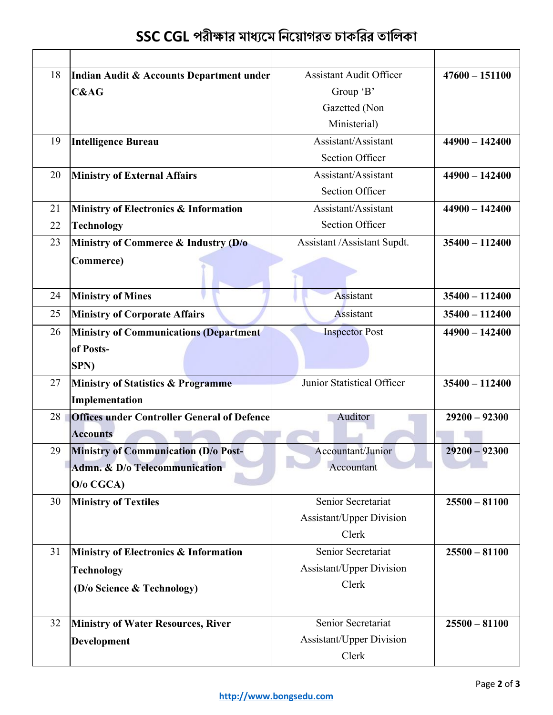|  |  | SSC CGL পরীক্ষার মাধ্যমে নিয়োগরত চাকরির তালিকা |  |  |
|--|--|-------------------------------------------------|--|--|
|  |  |                                                 |  |  |

| 18 | Indian Audit & Accounts Department under           | <b>Assistant Audit Officer</b> | $47600 - 151100$ |
|----|----------------------------------------------------|--------------------------------|------------------|
|    | <b>C&amp;AG</b>                                    | Group 'B'                      |                  |
|    |                                                    | Gazetted (Non                  |                  |
|    |                                                    | Ministerial)                   |                  |
| 19 | <b>Intelligence Bureau</b>                         | Assistant/Assistant            | $44900 - 142400$ |
|    |                                                    | <b>Section Officer</b>         |                  |
| 20 | <b>Ministry of External Affairs</b>                | Assistant/Assistant            | $44900 - 142400$ |
|    |                                                    | <b>Section Officer</b>         |                  |
| 21 | Ministry of Electronics & Information              | Assistant/Assistant            | $44900 - 142400$ |
| 22 | <b>Technology</b>                                  | <b>Section Officer</b>         |                  |
| 23 | Ministry of Commerce & Industry (D/o               | Assistant /Assistant Supdt.    | $35400 - 112400$ |
|    | Commerce)                                          |                                |                  |
|    |                                                    |                                |                  |
| 24 | <b>Ministry of Mines</b>                           | Assistant                      | $35400 - 112400$ |
| 25 | <b>Ministry of Corporate Affairs</b>               | Assistant                      | $35400 - 112400$ |
| 26 | <b>Ministry of Communications (Department</b>      | <b>Inspector Post</b>          | $44900 - 142400$ |
|    | of Posts-                                          |                                |                  |
|    | SPN)                                               |                                |                  |
| 27 | <b>Ministry of Statistics &amp; Programme</b>      | Junior Statistical Officer     | $35400 - 112400$ |
|    | Implementation                                     |                                |                  |
| 28 | <b>Offices under Controller General of Defence</b> | Auditor                        | $29200 - 92300$  |
|    | <b>Accounts</b>                                    |                                |                  |
| 29 | <b>Ministry of Communication (D/o Post-</b>        | Accountant/Junior              | $29200 - 92300$  |
|    | Admn. & D/o Telecommunication                      | Accountant                     |                  |
|    | $O/O$ CGCA)                                        |                                |                  |
| 30 | <b>Ministry of Textiles</b>                        | Senior Secretariat             | $25500 - 81100$  |
|    |                                                    | Assistant/Upper Division       |                  |
|    |                                                    | Clerk                          |                  |
| 31 | <b>Ministry of Electronics &amp; Information</b>   | Senior Secretariat             | $25500 - 81100$  |
|    | <b>Technology</b>                                  | Assistant/Upper Division       |                  |
|    | (D/o Science & Technology)                         | Clerk                          |                  |
|    |                                                    |                                |                  |
| 32 | <b>Ministry of Water Resources, River</b>          | Senior Secretariat             | $25500 - 81100$  |
|    | <b>Development</b>                                 | Assistant/Upper Division       |                  |
|    |                                                    | Clerk                          |                  |